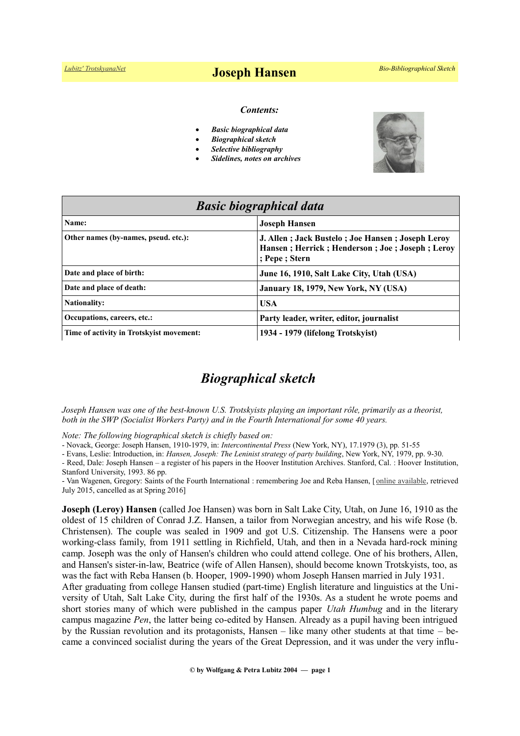#### *Contents:*

- *Basic biographical data*
- *Biographical sketch*
- *Selective bibliography*
- *Sidelines, notes on archives*



| <b>Basic biographical data</b>           |                                                                                                                      |
|------------------------------------------|----------------------------------------------------------------------------------------------------------------------|
| Name:                                    | <b>Joseph Hansen</b>                                                                                                 |
| Other names (by-names, pseud. etc.):     | J. Allen; Jack Bustelo; Joe Hansen; Joseph Leroy<br>Hansen; Herrick; Henderson; Joe; Joseph; Leroy<br>; Pepe ; Stern |
| Date and place of birth:                 | June 16, 1910, Salt Lake City, Utah (USA)                                                                            |
| Date and place of death:                 | January 18, 1979, New York, NY (USA)                                                                                 |
| <b>Nationality:</b>                      | <b>USA</b>                                                                                                           |
| Occupations, careers, etc.:              | Party leader, writer, editor, journalist                                                                             |
| Time of activity in Trotskyist movement: | 1934 - 1979 (lifelong Trotskyist)                                                                                    |

# *Biographical sketch*

*Joseph Hansen was one of the best-known U.S. Trotskyists playing an important rôle, primarily as a theorist, both in the SWP (Socialist Workers Party) and in the Fourth International for some 40 years.*

*Note: The following biographical sketch is chiefly based on:*

- Novack, George: Joseph Hansen, 1910-1979, in: *Intercontinental Press* (New York, NY), 17.1979 (3), pp. 51-55

- Evans, Leslie: Introduction, in: *Hansen, Joseph: The Leninist strategy of party building*, New York, NY, 1979, pp. 9-30.

*-* Reed, Dale: Joseph Hansen – a register of his papers in the Hoover Institution Archives. Stanford, Cal. : Hoover Institution, Stanford University, 1993. 86 pp.

- Van Wagenen, Gregory: Saints of the Fourth International : remembering Joe and Reba Hansen, [[online available,](http://themormonworker.net/past-issues/mw-issue-6/saints-of-the-fourth-international-remembering-joe-and-reba-hansen/) retrieved July 2015, cancelled as at Spring 2016]

**Joseph (Leroy) Hansen** (called Joe Hansen) was born in Salt Lake City, Utah, on June 16, 1910 as the oldest of 15 children of Conrad J.Z. Hansen, a tailor from Norwegian ancestry, and his wife Rose (b. Christensen). The couple was sealed in 1909 and got U.S. Citizenship. The Hansens were a poor working-class family, from 1911 settling in Richfield, Utah, and then in a Nevada hard-rock mining camp. Joseph was the only of Hansen's children who could attend college. One of his brothers, Allen, and Hansen's sister-in-law, Beatrice (wife of Allen Hansen), should become known Trotskyists, too, as was the fact with Reba Hansen (b. Hooper, 1909-1990) whom Joseph Hansen married in July 1931.

After graduating from college Hansen studied (part-time) English literature and linguistics at the University of Utah, Salt Lake City, during the first half of the 1930s. As a student he wrote poems and short stories many of which were published in the campus paper *Utah Humbug* and in the literary campus magazine *Pen*, the latter being co-edited by Hansen. Already as a pupil having been intrigued by the Russian revolution and its protagonists, Hansen – like many other students at that time – became a convinced socialist during the years of the Great Depression, and it was under the very influ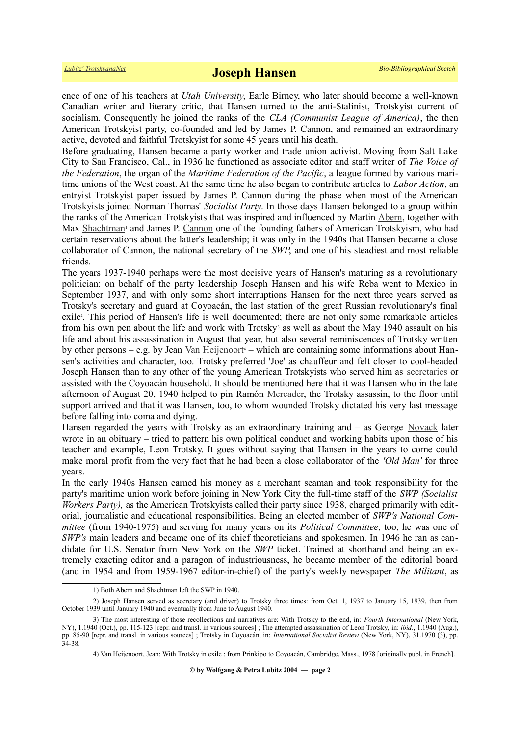ence of one of his teachers at *Utah University*, Earle Birney, who later should become a well-known Canadian writer and literary critic, that Hansen turned to the anti-Stalinist, Trotskyist current of socialism. Consequently he joined the ranks of the *CLA (Communist League of America)*, the then American Trotskyist party, co-founded and led by James P. Cannon, and remained an extraordinary active, devoted and faithful Trotskyist for some 45 years until his death.

Before graduating, Hansen became a party worker and trade union activist. Moving from Salt Lake City to San Francisco, Cal., in 1936 he functioned as associate editor and staff writer of *The Voice of the Federation*, the organ of the *Maritime Federation of the Pacific*, a league formed by various maritime unions of the West coast. At the same time he also began to contribute articles to *Labor Action*, an entryist Trotskyist paper issued by James P. Cannon during the phase when most of the American Trotskyists joined Norman Thomas' *Socialist Party*. In those days Hansen belonged to a group within the ranks of the American Trotskyists that was inspired and influenced by Martin [Abern,](https://www.trotskyana.net/Trotskyists/Bio-Bibliographies/bio-bibl_abern.pdf) together with Max [Shachtman](https://www.trotskyana.net/Trotskyists/Bio-Bibliographies/bio-bibl_shachtman.pdf)<sup>[1](#page-1-0)</sup> and James P. [Cannon](https://www.trotskyana.net/Trotskyists/Bio-Bibliographies/bio-bibl_cannon.pdf) one of the founding fathers of American Trotskyism, who had certain reservations about the latter's leadership; it was only in the 1940s that Hansen became a close collaborator of Cannon, the national secretary of the *SWP*, and one of his steadiest and most reliable friends.

The years 1937-1940 perhaps were the most decisive years of Hansen's maturing as a revolutionary politician: on behalf of the party leadership Joseph Hansen and his wife Reba went to Mexico in September 1937, and with only some short interruptions Hansen for the next three years served as Trotsky's secretary and guard at Coyoacán, the last station of the great Russian revolutionary's final exile<sup>[2](#page-1-1)</sup>. This period of Hansen's life is well documented; there are not only some remarkable articles fromhis own pen about the life and work with Trotsky<sup>3</sup> as well as about the May 1940 assault on his life and about his assassination in August that year, but also several reminiscences of Trotsky written by other persons – e.g. by Jean [Van Heijenoort](https://www.trotskyana.net/Trotskyists/Bio-Bibliographies/bio-bibl_vanheijenoort.pdf)<sup>[4](#page-1-3)</sup> – which are containing some informations about Hansen's activities and character, too. Trotsky preferred 'Joe' as chauffeur and felt closer to cool-headed Joseph Hansen than to any other of the young American Trotskyists who served him as [secretaries](https://www.trotskyana.net/Leon_Trotsky/Pseudonyms/trotsky_pseudonyms.html#secretaries) or assisted with the Coyoacán household. It should be mentioned here that it was Hansen who in the late afternoon of August 20, 1940 helped to pin Ramón [Mercader,](https://en.wikipedia.org/wiki/Ram%C3%B3n_Mercader) the Trotsky assassin, to the floor until support arrived and that it was Hansen, too, to whom wounded Trotsky dictated his very last message before falling into coma and dying.

Hansen regarded the years with Trotsky as an extraordinary training and – as George [Novack](https://www.trotskyana.net/Trotskyists/Bio-Bibliographies/bio-bibl_novack.pdf) later wrote in an obituary – tried to pattern his own political conduct and working habits upon those of his teacher and example, Leon Trotsky. It goes without saying that Hansen in the years to come could make moral profit from the very fact that he had been a close collaborator of the *'Old Man'* for three years.

In the early 1940s Hansen earned his money as a merchant seaman and took responsibility for the party's maritime union work before joining in New York City the full-time staff of the *SWP (Socialist Workers Party*), as the American Trotskyists called their party since 1938, charged primarily with editorial, journalistic and educational responsibilities. Being an elected member of *SWP's National Committee* (from 1940-1975) and serving for many years on its *Political Committee*, too, he was one of *SWP's* main leaders and became one of its chief theoreticians and spokesmen. In 1946 he ran as candidate for U.S. Senator from New York on the *SWP* ticket. Trained at shorthand and being an extremely exacting editor and a paragon of industriousness, he became member of the editorial board (and in 1954 and from 1959-1967 editor-in-chief) of the party's weekly newspaper *The Militant*, as

<span id="page-1-2"></span><span id="page-1-1"></span><span id="page-1-0"></span><sup>1)</sup> Both Abern and Shachtman left the SWP in 1940.

<sup>2)</sup> Joseph Hansen served as secretary (and driver) to Trotsky three times: from Oct. 1, 1937 to January 15, 1939, then from October 1939 until January 1940 and eventually from June to August 1940.

<sup>3)</sup> The most interesting of those recollections and narratives are: With Trotsky to the end, in: *Fourth International* (New York, NY), 1.1940 (Oct.), pp. 115-123 [repr. and transl. in various sources] ; The attempted assassination of Leon Trotsky*,* in: *ibid.*, 1.1940 (Aug.), pp. 85-90 [repr. and transl. in various sources] ; Trotsky in Coyoacán, in: *International Socialist Review* (New York, NY), 31.1970 (3), pp. 34-38.

<span id="page-1-3"></span><sup>4)</sup> Van Heijenoort, Jean: With Trotsky in exile : from Prinkipo to Coyoacán, Cambridge, Mass., 1978 [originally publ. in French].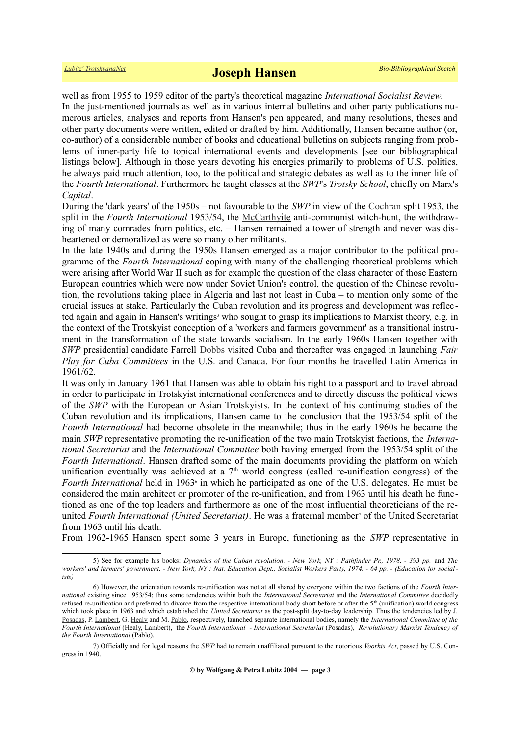well as from 1955 to 1959 editor of the party's theoretical magazine *International Socialist Review*. In the just-mentioned journals as well as in various internal bulletins and other party publications numerous articles, analyses and reports from Hansen's pen appeared, and many resolutions, theses and other party documents were written, edited or drafted by him. Additionally, Hansen became author (or, co-author) of a considerable number of books and educational bulletins on subjects ranging from problems of inner-party life to topical international events and developments [see our bibliographical listings below]. Although in those years devoting his energies primarily to problems of U.S. politics, he always paid much attention, too, to the political and strategic debates as well as to the inner life of the *Fourth International*. Furthermore he taught classes at the *SWP*'s *Trotsky School*, chiefly on Marx's *Capital*.

During the 'dark years' of the 1950s – not favourable to the *SWP* in view of the [Cochran](https://www.trotskyana.net/Trotskyists/Bio-Bibliographies/bio-bibl_cochran.pdf) split 1953, the split in the *Fourth International* 1953/54, the [McCarthyi](https://en.wikipedia.org/wiki/McCarthyism)te anti-communist witch-hunt, the withdrawing of many comrades from politics, etc. – Hansen remained a tower of strength and never was disheartened or demoralized as were so many other militants.

In the late 1940s and during the 1950s Hansen emerged as a major contributor to the political programme of the *Fourth International* coping with many of the challenging theoretical problems which were arising after World War II such as for example the question of the class character of those Eastern European countries which were now under Soviet Union's control, the question of the Chinese revolution, the revolutions taking place in Algeria and last not least in Cuba – to mention only some of the crucial issues at stake. Particularly the Cuban revolution and its progress and development was reflec tedagain and again in Hansen's writings<sup>5</sup> who sought to grasp its implications to Marxist theory, e.g. in the context of the Trotskyist conception of a 'workers and farmers government' as a transitional instrument in the transformation of the state towards socialism. In the early 1960s Hansen together with *SWP* presidential candidate Farrell [Dobbs](https://en.wikipedia.org/wiki/Farrell_Dobbs) visited Cuba and thereafter was engaged in launching *Fair Play for Cuba Committees* in the U.S. and Canada. For four months he travelled Latin America in 1961/62.

It was only in January 1961 that Hansen was able to obtain his right to a passport and to travel abroad in order to participate in Trotskyist international conferences and to directly discuss the political views of the *SWP* with the European or Asian Trotskyists. In the context of his continuing studies of the Cuban revolution and its implications, Hansen came to the conclusion that the 1953/54 split of the *Fourth International* had become obsolete in the meanwhile; thus in the early 1960s he became the main *SWP* representative promoting the re-unification of the two main Trotskyist factions, the *International Secretariat* and the *International Committee* both having emerged from the 1953/54 split of the *Fourth International*. Hansen drafted some of the main documents providing the platform on which unification eventually was achieved at a  $7<sup>th</sup>$  world congress (called re-unification congress) of the Fourth International held in 196[3](#page-2-1)<sup>6</sup> in which he participated as one of the U.S. delegates. He must be considered the main architect or promoter of the re-unification, and from 1963 until his death he functioned as one of the top leaders and furthermore as one of the most influential theoreticians of the re-unitedFourth International (United Secretariat). He was a fraternal member<sup>7</sup> of the United Secretariat from 1963 until his death.

From 1962-1965 Hansen spent some 3 years in Europe, functioning as the *SWP* representative in

<span id="page-2-0"></span><sup>5)</sup> See for example his books: *Dynamics of the Cuban revolution. - New York, NY : Pathfinder Pr., 1978. - 393 pp.* and *The workers' and farmers' government. - New York, NY : Nat. Education Dept., Socialist Workers Party, 1974. - 64 pp. - (Education for social ists)*

<span id="page-2-1"></span><sup>6)</sup> However, the orientation towards re-unification was not at all shared by everyone within the two factions of the *Fourth International* existing since 1953/54; thus some tendencies within both the *International Secretariat* and the *International Committee* decidedly refused re-unification and preferred to divorce from the respective international body short before or after the 5<sup>th</sup> (unification) world congress which took place in 1963 and which established the *United Secretariat* as the post-split day-to-day leadership. Thus the tendencies led by J. [Posadas,](https://en.wikipedia.org/wiki/J._Posadas) P. [Lambert,](https://en.wikipedia.org/wiki/Pierre_Lambert) G. [Healy](https://www.trotskyana.net/Trotskyists/Bio-Bibliographies/bio-bibl_healy.pdf) and M. [Pablo,](https://www.trotskyana.net/Trotskyists/Bio-Bibliographies/bio-bibl_pablo.pdf) respectively, launched separate international bodies, namely the *International Committee of the Fourth International* (Healy, Lambert), the *Fourth International - International Secretariat* (Posadas), *Revolutionary Marxist Tendency of the Fourth International* (Pablo).

<span id="page-2-2"></span><sup>7)</sup> Officially and for legal reasons the *SWP* had to remain unaffiliated pursuant to the notorious *Voorhis Act*, passed by U.S. Congress in 1940.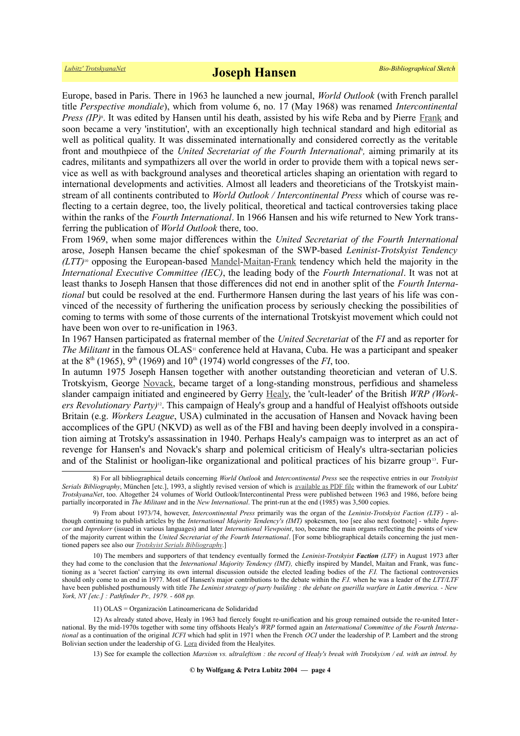Europe, based in Paris. There in 1963 he launched a new journal, *World Outlook* (with French parallel title *Perspective mondiale*), which from volume 6, no. 17 (May 1968) was renamed *Intercontinental* Press (IP)<sup>8</sup>[.](#page-3-0) It was edited by Hansen until his death, assisted by his wife Reba and by Pierre [Frank](https://www.trotskyana.net/Trotskyists/Bio-Bibliographies/bio-bibl_frank.pdf) and soon became a very 'institution', with an exceptionally high technical standard and high editorial as well as political quality. It was disseminated internationally and considered correctly as the veritable front and mouthpiece of the *United Secretariat of the Fourth International*, aiming primarily at its cadres, militants and sympathizers all over the world in order to provide them with a topical news service as well as with background analyses and theoretical articles shaping an orientation with regard to international developments and activities. Almost all leaders and theoreticians of the Trotskyist mainstream of all continents contributed to *World Outlook / Intercontinental Press* which of course was reflecting to a certain degree, too, the lively political, theoretical and tactical controversies taking place within the ranks of the *Fourth International*. In 1966 Hansen and his wife returned to New York transferring the publication of *World Outlook* there, too.

From 1969, when some major differences within the *United Secretariat of the Fourth International* arose, Joseph Hansen became the chief spokesman of the SWP-based *Leninist-Trotskyist Tendency (LTT)*[10](#page-3-2) opposing the European-based [Mandel-](https://www.trotskyana.net/Trotskyists/Ernest_Mandel/ernest_mandel.html)[Maitan](https://www.trotskyana.net/Trotskyists/Bio-Bibliographies/bio-bibl_maitan.pdf)[-Frank](https://www.trotskyana.net/Trotskyists/Bio-Bibliographies/bio-bibl_frank.pdf) tendency which held the majority in the *International Executive Committee (IEC)*, the leading body of the *Fourth International*. It was not at least thanks to Joseph Hansen that those differences did not end in another split of the *Fourth International* but could be resolved at the end. Furthermore Hansen during the last years of his life was convinced of the necessity of furthering the unification process by seriously checking the possibilities of coming to terms with some of those currents of the international Trotskyist movement which could not have been won over to re-unification in 1963.

In 1967 Hansen participated as fraternal member of the *United Secretariat* of the *FI* and as reporter for *The Militant* in the famous OLAS<sup>[11](#page-3-3)</sup> conference held at Havana, Cuba. He was a participant and speaker at the  $8<sup>th</sup>$  (1965), 9<sup>th</sup> (1969) and 10<sup>th</sup> (1974) world congresses of the *FI*, too.

In autumn 1975 Joseph Hansen together with another outstanding theoretician and veteran of U.S. Trotskyism, George [Novack,](https://www.trotskyana.net/Trotskyists/Bio-Bibliographies/bio-bibl_novack.pdf) became target of a long-standing monstrous, perfidious and shameless slander campaign initiated and engineered by Gerry [Healy,](https://www.trotskyana.net/Trotskyists/Bio-Bibliographies/bio-bibl_healy.pdf) the 'cult-leader' of the British *WRP (Workers Revolutionary Party)*[12](#page-3-4). This campaign of Healy's group and a handful of Healyist offshoots outside Britain (e.g. *Workers League*, USA) culminated in the accusation of Hansen and Novack having been accomplices of the GPU (NKVD) as well as of the FBI and having been deeply involved in a conspiration aiming at Trotsky's assassination in 1940. Perhaps Healy's campaign was to interpret as an act of revenge for Hansen's and Novack's sharp and polemical criticism of Healy's ultra-sectarian policies and of the Stalinist or hooligan-like organizational and political practices of his bizarre group<sup>[13](#page-3-5)</sup>. Fur-

<span id="page-3-5"></span>13) See for example the collection *Marxism vs. ultraleftism : the record of Healy's break with Trotskyism / ed. with an introd. by*

<span id="page-3-0"></span><sup>8)</sup> For all bibliographical details concerning *World Outlook* and *Intercontinental Press* see the respective entries in our *Trotskyist Serials Bibliography*, München [etc.], 1993, a slightly revised version of which is [available as PDF file](https://www.trotskyana.net/LubitzBibliographies/Serials_Bibliography/serials_bibliography.htm#PDF) within the framework of our Lubitz' *TrotskyanaNet*, too. Altogether 24 volumes of World Outlook/Intercontinental Press were published between 1963 and 1986, before being partially incorporated in *The Militant* and in the *New International*. The print-run at the end (1985) was 3,500 copies.

<span id="page-3-1"></span><sup>9)</sup> From about 1973/74, however, *Intercontinental Press* primarily was the organ of the *Leninist-Trotskyist Faction (LTF)* - although continuing to publish articles by the *International Majority Tendency's (IMT)* spokesmen, too [see also next footnote] - while *Inprecor* and *Inprekorr* (issued in various languages) and later *International Viewpoint*, too, became the main organs reflecting the points of view of the majority current within the *United Secretariat of the Fourth International*. [For some bibliographical details concerning the just mentioned papers see also our *[Trotskyist Serials Bibliography](https://www.trotskyana.net/LubitzBibliographies/Serials_Bibliography/serials_bibliography.htm#PDF)*.]

<span id="page-3-2"></span><sup>10)</sup> The members and supporters of that tendency eventually formed the *Leninist-Trotskyist Faction (LTF)* in August 1973 after they had come to the conclusion that the *International Majority Tendency (IMT),* chiefly inspired by Mandel, Maitan and Frank, was functioning as a 'secret faction' carrying its own internal discussion outside the elected leading bodies of the *F.I.* The factional controversies should only come to an end in 1977. Most of Hansen's major contributions to the debate within the *F.I.* when he was a leader of the *LTT/LTF* have been published posthumously with title *The Leninist strategy of party building : the debate on guerilla warfare in Latin America. - New York, NY [etc.] : Pathfinder Pr., 1979. - 608 pp.*

<span id="page-3-4"></span><span id="page-3-3"></span><sup>11)</sup> OLAS = Organización Latinoamericana de Solidaridad

<sup>12)</sup> As already stated above, Healy in 1963 had fiercely fought re-unification and his group remained outside the re-united International. By the mid-1970s together with some tiny offshoots Healy's *WRP* formed again an *International Committee of the Fourth International* as a continuation of the original *ICFI* which had split in 1971 when the French *OCI* under the leadership of P. Lambert and the strong Bolivian section under the leadership of G. [Lora](https://en.wikipedia.org/wiki/Guillermo_Lora) divided from the Healyites.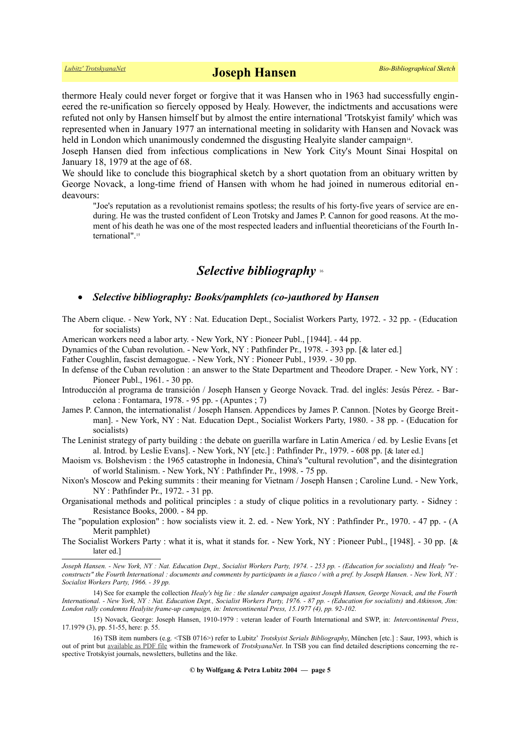thermore Healy could never forget or forgive that it was Hansen who in 1963 had successfully engineered the re-unification so fiercely opposed by Healy. However, the indictments and accusations were refuted not only by Hansen himself but by almost the entire international 'Trotskyist family' which was represented when in January 1977 an international meeting in solidarity with Hansen and Novack was held in London which unanimously condemned the disgusting Healyite slander campaign<sup>[14](#page-4-0)</sup>.

Joseph Hansen died from infectious complications in New York City's Mount Sinai Hospital on January 18, 1979 at the age of 68.

We should like to conclude this biographical sketch by a short quotation from an obituary written by George Novack, a long-time friend of Hansen with whom he had joined in numerous editorial endeavours:

"Joe's reputation as a revolutionist remains spotless; the results of his forty-five years of service are enduring. He was the trusted confident of Leon Trotsky and James P. Cannon for good reasons. At the moment of his death he was one of the most respected leaders and influential theoreticians of the Fourth International".[15](#page-4-1)

## *Selective bibliography* [16](#page-4-2)

## *Selective bibliography: Books/pamphlets (co-)authored by Hansen*

The Abern clique. - New York, NY : Nat. Education Dept., Socialist Workers Party, 1972. - 32 pp. - (Education for socialists)

American workers need a labor arty. - New York, NY : Pioneer Publ., [1944]. - 44 pp.

Dynamics of the Cuban revolution. - New York, NY : Pathfinder Pr., 1978. - 393 pp. [& later ed.]

Father Coughlin, fascist demagogue. - New York, NY : Pioneer Publ., 1939. - 30 pp.

- In defense of the Cuban revolution : an answer to the State Department and Theodore Draper. New York, NY : Pioneer Publ., 1961. - 30 pp.
- Introducción al programa de transición / Joseph Hansen y George Novack. Trad. del inglés: Jesús Pérez. Barcelona : Fontamara, 1978. - 95 pp. - (Apuntes ; 7)
- James P. Cannon, the internationalist / Joseph Hansen. Appendices by James P. Cannon. [Notes by George Breitman]. - New York, NY : Nat. Education Dept., Socialist Workers Party, 1980. - 38 pp. - (Education for socialists)
- The Leninist strategy of party building : the debate on guerilla warfare in Latin America / ed. by Leslie Evans [et al. Introd. by Leslie Evans]. - New York, NY [etc.] : Pathfinder Pr., 1979. - 608 pp. [& later ed.]
- Maoism vs. Bolshevism : the 1965 catastrophe in Indonesia, China's "cultural revolution", and the disintegration of world Stalinism. - New York, NY : Pathfinder Pr., 1998. - 75 pp.
- Nixon's Moscow and Peking summits : their meaning for Vietnam / Joseph Hansen ; Caroline Lund. New York, NY : Pathfinder Pr., 1972. - 31 pp.
- Organisational methods and political principles : a study of clique politics in a revolutionary party. Sidney : Resistance Books, 2000. - 84 pp.
- The "population explosion" : how socialists view it. 2. ed. New York, NY : Pathfinder Pr., 1970. 47 pp. (A Merit pamphlet)
- The Socialist Workers Party : what it is, what it stands for. New York, NY : Pioneer Publ., [1948]. 30 pp. [& later ed.]

Joseph Hansen. - New York, NY: Nat. Education Dept., Socialist Workers Party, 1974. - 253 pp. - (Education for socialists) and Healy "re*constructs" the Fourth International : documents and comments by participants in a fiasco / with a pref. by Joseph Hansen. - New York, NY : Socialist Workers Party, 1966. - 39 pp.*

<span id="page-4-0"></span><sup>14)</sup> See for example the collection *Healy's big lie : the slander campaign against Joseph Hansen, George Novack, and the Fourth International. - New York, NY : Nat. Education Dept., Socialist Workers Party, 1976. - 87 pp. - (Education for socialists)* and *Atkinson, Jim: London rally condemns Healyite frame-up campaign, in: Intercontinental Press, 15.1977 (4), pp. 92-102.*

<span id="page-4-1"></span><sup>15)</sup> Novack, George: Joseph Hansen, 1910-1979 : veteran leader of Fourth International and SWP, in: *Intercontinental Press*, 17.1979 (3), pp. 51-55, here: p. 55.

<span id="page-4-2"></span><sup>16)</sup> TSB item numbers (e.g. <TSB 0716>) refer to Lubitz' *Trotskyist Serials Bibliography*, München [etc.] : Saur, 1993, which is out of print but [available as PDF file](https://www.trotskyana.net/LubitzBibliographies/Serials_Bibliography/serials_bibliography.htm#PDF) within the framework of *TrotskyanaNet*. In TSB you can find detailed descriptions concerning the respective Trotskyist journals, newsletters, bulletins and the like.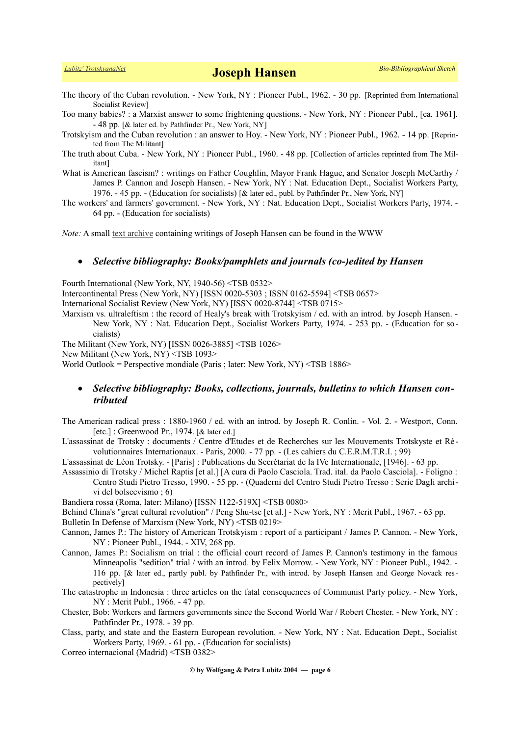The theory of the Cuban revolution. - New York, NY : Pioneer Publ., 1962. - 30 pp. [Reprinted from International Socialist Review]

Too many babies? : a Marxist answer to some frightening questions. - New York, NY : Pioneer Publ., [ca. 1961]. - 48 pp. [& later ed. by Pathfinder Pr., New York, NY]

Trotskyism and the Cuban revolution : an answer to Hoy. - New York, NY : Pioneer Publ., 1962. - 14 pp. [Reprinted from The Militant]

The truth about Cuba. - New York, NY : Pioneer Publ., 1960. - 48 pp. [Collection of articles reprinted from The Militant]

What is American fascism? : writings on Father Coughlin, Mayor Frank Hague, and Senator Joseph McCarthy / James P. Cannon and Joseph Hansen. - New York, NY : Nat. Education Dept., Socialist Workers Party, 1976. - 45 pp. - (Education for socialists) [& later ed., publ. by Pathfinder Pr., New York, NY]

The workers' and farmers' government. - New York, NY : Nat. Education Dept., Socialist Workers Party, 1974. - 64 pp. - (Education for socialists)

*Note:* A small [text archive](https://www.marxists.org/archive/hansen/index.htm) containing writings of Joseph Hansen can be found in the WWW

## *Selective bibliography: Books/pamphlets and journals (co-)edited by Hansen*

Fourth International (New York, NY, 1940-56) <TSB 0532>

Intercontinental Press (New York, NY) [ISSN 0020-5303 ; ISSN 0162-5594] <TSB 0657>

International Socialist Review (New York, NY) [ISSN 0020-8744] <TSB 0715>

Marxism vs. ultraleftism : the record of Healy's break with Trotskyism / ed. with an introd. by Joseph Hansen. -New York, NY : Nat. Education Dept., Socialist Workers Party, 1974. - 253 pp. - (Education for socialists)

The Militant (New York, NY) [ISSN 0026-3885] <TSB 1026>

New Militant (New York, NY) <TSB 1093>

World Outlook = Perspective mondiale (Paris ; later: New York, NY) <TSB 1886>

## *Selective bibliography: Books, collections, journals, bulletins to which Hansen contributed*

The American radical press : 1880-1960 / ed. with an introd. by Joseph R. Conlin. - Vol. 2. - Westport, Conn. [etc.] : Greenwood Pr., 1974. [& later ed.]

L'assassinat de Trotsky : documents / Centre d'Etudes et de Recherches sur les Mouvements Trotskyste et Ré volutionnaires Internationaux. - Paris, 2000. - 77 pp. - (Les cahiers du C.E.R.M.T.R.I. ; 99)

L'assassinat de Léon Trotsky. - [Paris] : Publications du Secrétariat de la IVe Internationale, [1946]. - 63 pp.

Assassinio di Trotsky / Michel Raptis [et al.] [A cura di Paolo Casciola. Trad. ital. da Paolo Casciola]. - Foligno : Centro Studi Pietro Tresso, 1990. - 55 pp. - (Quaderni del Centro Studi Pietro Tresso : Serie Dagli archivi del bolscevismo ; 6)

Bandiera rossa (Roma, later: Milano) [ISSN 1122-519X] <TSB 0080>

Behind China's "great cultural revolution" / Peng Shu-tse [et al.] - New York, NY : Merit Publ., 1967. - 63 pp.

Bulletin In Defense of Marxism (New York, NY) <TSB 0219>

- Cannon, James P.: The history of American Trotskyism : report of a participant / James P. Cannon. New York, NY : Pioneer Publ., 1944. - XIV, 268 pp.
- Cannon, James P.: Socialism on trial : the official court record of James P. Cannon's testimony in the famous Minneapolis "sedition" trial / with an introd. by Felix Morrow. - New York, NY : Pioneer Publ., 1942. - 116 pp. [& later ed., partly publ. by Pathfinder Pr., with introd. by Joseph Hansen and George Novack respectively]

The catastrophe in Indonesia : three articles on the fatal consequences of Communist Party policy. - New York, NY : Merit Publ., 1966. - 47 pp.

- Chester, Bob: Workers and farmers governments since the Second World War / Robert Chester. New York, NY : Pathfinder Pr., 1978. - 39 pp.
- Class, party, and state and the Eastern European revolution. New York, NY : Nat. Education Dept., Socialist Workers Party, 1969. - 61 pp. - (Education for socialists)

Correo internacional (Madrid) <TSB 0382>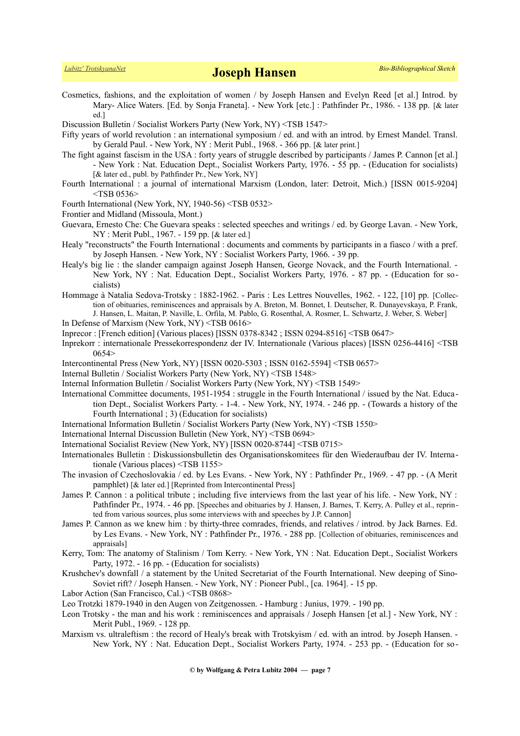- Cosmetics, fashions, and the exploitation of women / by Joseph Hansen and Evelyn Reed [et al.] Introd. by Mary- Alice Waters. [Ed. by Sonja Franeta]. - New York [etc.] : Pathfinder Pr., 1986. - 138 pp. [& later ed.]
- Discussion Bulletin / Socialist Workers Party (New York, NY) <TSB 1547>
- Fifty years of world revolution : an international symposium / ed. and with an introd. by Ernest Mandel. Transl. by Gerald Paul. - New York, NY : Merit Publ., 1968. - 366 pp. [& later print.]
- The fight against fascism in the USA : forty years of struggle described by participants / James P. Cannon [et al.] - New York : Nat. Education Dept., Socialist Workers Party, 1976. - 55 pp. - (Education for socialists) [& later ed., publ. by Pathfinder Pr., New York, NY]
- Fourth International : a journal of international Marxism (London, later: Detroit, Mich.) [ISSN 0015-9204]  $<$ TSB 0536 $>$
- Fourth International (New York, NY, 1940-56) <TSB 0532>
- Frontier and Midland (Missoula, Mont.)
- Guevara, Ernesto Che: Che Guevara speaks : selected speeches and writings / ed. by George Lavan. New York, NY : Merit Publ., 1967. - 159 pp. [& later ed.]
- Healy "reconstructs" the Fourth International : documents and comments by participants in a fiasco / with a pref. by Joseph Hansen. - New York, NY : Socialist Workers Party, 1966. - 39 pp.
- Healy's big lie : the slander campaign against Joseph Hansen, George Novack, and the Fourth International. New York, NY : Nat. Education Dept., Socialist Workers Party, 1976. - 87 pp. - (Education for socialists)
- Hommage à Natalia Sedova-Trotsky : 1882-1962. Paris : Les Lettres Nouvelles, 1962. 122, [10] pp. [Collection of obituaries, reminiscences and appraisals by A. Breton, M. Bonnet, I. Deutscher, R. Dunayevskaya, P. Frank, J. Hansen, L. Maitan, P. Naville, L. Orfila, M. Pablo, G. Rosenthal, A. Rosmer, L. Schwartz, J. Weber, S. Weber]
- In Defense of Marxism (New York, NY) <TSB 0616>
- Inprecor : [French edition] (Various places) [ISSN 0378-8342 ; ISSN 0294-8516] <TSB 0647>
- Inprekorr : internationale Pressekorrespondenz der IV. Internationale (Various places) [ISSN 0256-4416] <TSB 0654>
- Intercontinental Press (New York, NY) [ISSN 0020-5303 ; ISSN 0162-5594] <TSB 0657>
- Internal Bulletin / Socialist Workers Party (New York, NY) <TSB 1548>
- Internal Information Bulletin / Socialist Workers Party (New York, NY) <TSB 1549>
- International Committee documents, 1951-1954 : struggle in the Fourth International / issued by the Nat. Education Dept., Socialist Workers Party. - 1-4. - New York, NY, 1974. - 246 pp. - (Towards a history of the Fourth International ; 3) (Education for socialists)
- International Information Bulletin / Socialist Workers Party (New York, NY) <TSB 1550>
- International Internal Discussion Bulletin (New York, NY) <TSB 0694>
- International Socialist Review (New York, NY) [ISSN 0020-8744] <TSB 0715>
- Internationales Bulletin : Diskussionsbulletin des Organisationskomitees für den Wiederaufbau der IV. Internationale (Various places) <TSB 1155>
- The invasion of Czechoslovakia / ed. by Les Evans. New York, NY : Pathfinder Pr., 1969. 47 pp. (A Merit pamphlet) [& later ed.] [Reprinted from Intercontinental Press]
- James P. Cannon : a political tribute ; including five interviews from the last year of his life. New York, NY : Pathfinder Pr., 1974. - 46 pp. [Speeches and obituaries by J. Hansen, J. Barnes, T. Kerry, A. Pulley et al., reprinted from various sources, plus some interviews with and speeches by J.P. Cannon]
- James P. Cannon as we knew him : by thirty-three comrades, friends, and relatives / introd. by Jack Barnes. Ed. by Les Evans. - New York, NY : Pathfinder Pr., 1976. - 288 pp. [Collection of obituaries, reminiscences and appraisals]
- Kerry, Tom: The anatomy of Stalinism / Tom Kerry. New York, YN : Nat. Education Dept., Socialist Workers Party, 1972. - 16 pp. - (Education for socialists)
- Krushchev's downfall / a statement by the United Secretariat of the Fourth International. New deeping of Sino-Soviet rift? / Joseph Hansen. - New York, NY : Pioneer Publ., [ca. 1964]. - 15 pp.
- Labor Action (San Francisco, Cal.) <TSB 0868>
- Leo Trotzki 1879-1940 in den Augen von Zeitgenossen. Hamburg : Junius, 1979. 190 pp.
- Leon Trotsky the man and his work : reminiscences and appraisals / Joseph Hansen [et al.] New York, NY : Merit Publ., 1969. - 128 pp.
- Marxism vs. ultraleftism : the record of Healy's break with Trotskyism / ed. with an introd. by Joseph Hansen. -New York, NY : Nat. Education Dept., Socialist Workers Party, 1974. - 253 pp. - (Education for so-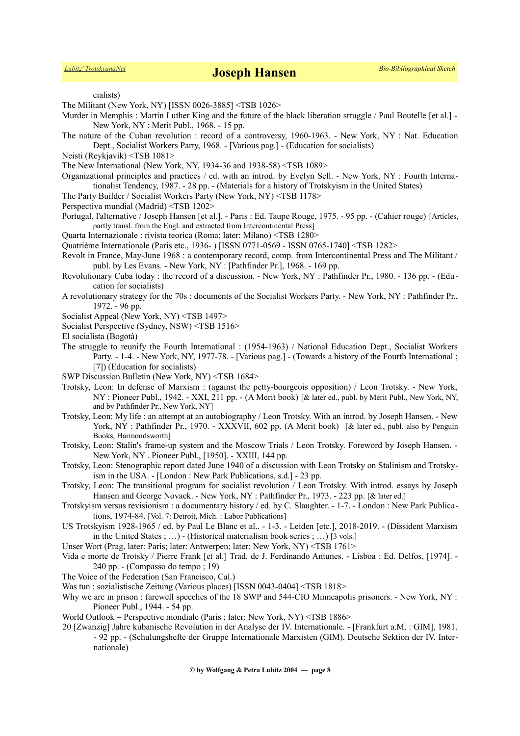cialists)

The Militant (New York, NY) [ISSN 0026-3885] <TSB 1026>

- Murder in Memphis : Martin Luther King and the future of the black liberation struggle / Paul Boutelle [et al.] New York, NY : Merit Publ., 1968. - 15 pp.
- The nature of the Cuban revolution : record of a controversy, 1960-1963. New York, NY : Nat. Education Dept., Socialist Workers Party, 1968. - [Various pag.] - (Education for socialists)
- Neisti (Reykjavík) <TSB 1081>
- The New International (New York, NY, 1934-36 and 1938-58) <TSB 1089>
- Organizational principles and practices / ed. with an introd. by Evelyn Sell. New York, NY : Fourth Internationalist Tendency, 1987. - 28 pp. - (Materials for a history of Trotskyism in the United States)
- The Party Builder / Socialist Workers Party (New York, NY) <TSB 1178>
- Perspectiva mundial (Madrid) <TSB 1202>
- Portugal, l'alternative / Joseph Hansen [et al.]. Paris : Ed. Taupe Rouge, 1975. 95 pp. (Cahier rouge) [Articles, partly transl. from the Engl. and extracted from Intercontinental Press]
- Quarta Internazionale : rivista teorica (Roma; later: Milano) <TSB 1280>

Quatrième Internationale (Paris etc., 1936- ) [ISSN 0771-0569 - ISSN 0765-1740] <TSB 1282>

- Revolt in France, May-June 1968 : a contemporary record, comp. from Intercontinental Press and The Militant / publ. by Les Evans. - New York, NY : [Pathfinder Pr.], 1968. - 169 pp.
- Revolutionary Cuba today : the record of a discussion. New York, NY : Pathfinder Pr., 1980. 136 pp. (Education for socialists)
- A revolutionary strategy for the 70s : documents of the Socialist Workers Party. New York, NY : Pathfinder Pr., 1972. - 96 pp.
- Socialist Appeal (New York, NY) <TSB 1497>
- Socialist Perspective (Sydney, NSW) <TSB 1516>

El socialista (Bogotà)

- The struggle to reunify the Fourth International : (1954-1963) / National Education Dept., Socialist Workers Party. - 1-4. - New York, NY, 1977-78. - [Various pag.] - (Towards a history of the Fourth International ; [7]) (Education for socialists)
- SWP Discussion Bulletin (New York, NY) <TSB 1684>
- Trotsky, Leon: In defense of Marxism : (against the petty-bourgeois opposition) / Leon Trotsky. New York, NY : Pioneer Publ., 1942. - XXI, 211 pp. - (A Merit book) [& later ed., publ. by Merit Publ., New York, NY, and by Pathfinder Pr., New York, NY]
- Trotsky, Leon: My life : an attempt at an autobiography / Leon Trotsky. With an introd. by Joseph Hansen. New York, NY : Pathfinder Pr., 1970. - XXXVII, 602 pp. (A Merit book) [& later ed., publ. also by Penguin Books, Harmondsworth]
- Trotsky, Leon: Stalin's frame-up system and the Moscow Trials / Leon Trotsky. Foreword by Joseph Hansen. New York, NY . Pioneer Publ., [1950]. - XXIII, 144 pp.
- Trotsky, Leon: Stenographic report dated June 1940 of a discussion with Leon Trotsky on Stalinism and Trotskyism in the USA. - [London : New Park Publications, s.d.] - 23 pp.
- Trotsky, Leon: The transitional program for socialist revolution / Leon Trotsky. With introd. essays by Joseph Hansen and George Novack. - New York, NY : Pathfinder Pr., 1973. - 223 pp. [& later ed.]
- Trotskyism versus revisionism : a documentary history / ed. by C. Slaughter. 1-7. London : New Park Publications, 1974-84. [Vol. 7: Detroit, Mich. : Labor Publications]
- US Trotskyism 1928-1965 / ed. by Paul Le Blanc et al.. 1-3. Leiden [etc.], 2018-2019. (Dissident Marxism in the United States ; …) - (Historical materialism book series ; …) [3 vols.]
- Unser Wort (Prag, later: Paris; later: Antwerpen; later: New York, NY) <TSB 1761>
- Vida e morte de Trotsky / Pierre Frank [et al.] Trad. de J. Ferdinando Antunes. Lisboa : Ed. Delfos, [1974]. 240 pp. - (Compasso do tempo ; 19)
- The Voice of the Federation (San Francisco, Cal.)
- Was tun : sozialistische Zeitung (Various places) [ISSN 0043-0404] <TSB 1818>
- Why we are in prison : farewell speeches of the 18 SWP and 544-CIO Minneapolis prisoners. New York, NY : Pioneer Publ., 1944. - 54 pp.
- World Outlook = Perspective mondiale (Paris ; later: New York, NY) <TSB 1886>
- 20 [Zwanzig] Jahre kubanische Revolution in der Analyse der IV. Internationale. [Frankfurt a.M. : GIM], 1981.
	- 92 pp. (Schulungshefte der Gruppe Internationale Marxisten (GIM), Deutsche Sektion der IV. Internationale)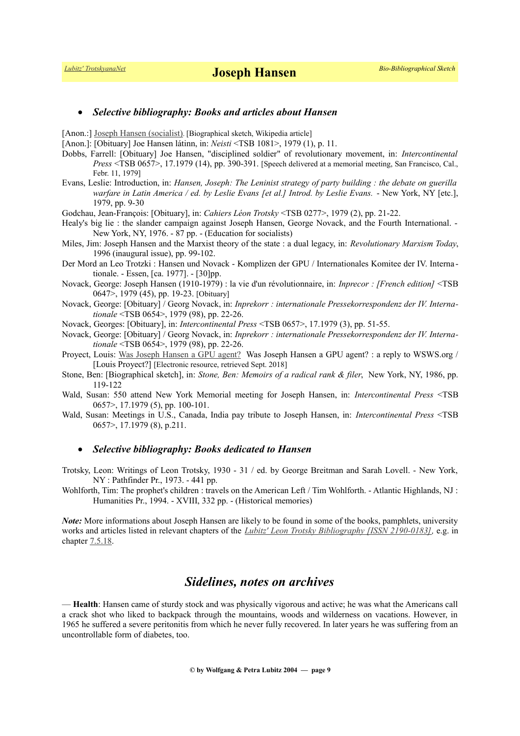### *Selective bibliography: Books and articles about Hansen*

[Anon.:] [Joseph Hansen \(socialist\)](https://en.wikipedia.org/wiki/Joseph_Hansen_(socialist)). [Biographical sketch, Wikipedia article]

[Anon.]: [Obituary] Joe Hansen látinn, in: *Neisti* <TSB 1081>, 1979 (1), p. 11.

- Dobbs, Farrell: [Obituary] Joe Hansen, "disciplined soldier" of revolutionary movement, in: *Intercontinental Press* <TSB 0657>, 17.1979 (14), pp. 390-391. [Speech delivered at a memorial meeting, San Francisco, Cal., Febr. 11, 1979]
- Evans, Leslie: Introduction, in: *Hansen, Joseph: The Leninist strategy of party building : the debate on guerilla warfare in Latin America / ed. by Leslie Evans [et al.] Introd. by Leslie Evans.* - New York, NY [etc.], 1979, pp. 9-30

Godchau, Jean-François: [Obituary], in: *Cahiers Léon Trotsky* <TSB 0277>, 1979 (2), pp. 21-22.

- Healy's big lie : the slander campaign against Joseph Hansen, George Novack, and the Fourth International. New York, NY, 1976. - 87 pp. - (Education for socialists)
- Miles, Jim: Joseph Hansen and the Marxist theory of the state : a dual legacy, in: *Revolutionary Marxism Today*, 1996 (inaugural issue), pp. 99-102.
- Der Mord an Leo Trotzki : Hansen und Novack Komplizen der GPU / Internationales Komitee der IV. Interna tionale. - Essen, [ca. 1977]. - [30]pp.
- Novack, George: Joseph Hansen (1910-1979) : la vie d'un révolutionnaire, in: *Inprecor : [French edition]* <TSB 0647>, 1979 (45), pp. 19-23. [Obituary]
- Novack, George: [Obituary] / Georg Novack, in: *Inprekorr : internationale Pressekorrespondenz der IV. Internationale* <TSB 0654>, 1979 (98), pp. 22-26.
- Novack, Georges: [Obituary], in: *Intercontinental Press* <TSB 0657>, 17.1979 (3), pp. 51-55.
- Novack, George: [Obituary] / Georg Novack, in: *Inprekorr : internationale Pressekorrespondenz der IV. Internationale* <TSB 0654>, 1979 (98), pp. 22-26.
- Proyect, Louis: [Was Joseph Hansen a GPU agent?](https://louisproyect.org/2018/09/11/was-joseph-hansen-a-gpu-agent-a-reply-to-wsws-org/) Was Joseph Hansen a GPU agent? : a reply to WSWS.org / [Louis Proyect?] [Electronic resource, retrieved Sept. 2018]
- Stone, Ben: [Biographical sketch], in: *Stone, Ben: Memoirs of a radical rank & filer*, New York, NY, 1986, pp. 119-122
- Wald, Susan: 550 attend New York Memorial meeting for Joseph Hansen, in: *Intercontinental Press* <TSB 0657>, 17.1979 (5), pp. 100-101.
- Wald, Susan: Meetings in U.S., Canada, India pay tribute to Joseph Hansen, in: *Intercontinental Press* <TSB 0657>, 17.1979 (8), p.211.

#### *Selective bibliography: Books dedicated to Hansen*

- Trotsky, Leon: Writings of Leon Trotsky, 1930 31 / ed. by George Breitman and Sarah Lovell. New York, NY : Pathfinder Pr., 1973. - 441 pp.
- Wohlforth, Tim: The prophet's children : travels on the American Left / Tim Wohlforth. Atlantic Highlands, NJ : Humanities Pr., 1994. - XVIII, 332 pp. - (Historical memories)

*Note:* More informations about Joseph Hansen are likely to be found in some of the books, pamphlets, university works and articles listed in relevant chapters of the *[Lubitz' Leon Trotsky Bibliography \[ISSN 2190-0183\],](https://www.trotskyana.net/LubitzBibliographies/Trotsky_Bibliography/Leon_Trotsky_Bibliography.html)* e.g. in chapter [7.5.18.](https://www.trotskyana.net/LubitzBibliographies/Trotsky_Bibliography/Leon_Trotsky_Bibliography_07.html#c7.5.18)

## *Sidelines, notes on archives*

— **Health**: Hansen came of sturdy stock and was physically vigorous and active; he was what the Americans call a crack shot who liked to backpack through the mountains, woods and wilderness on vacations. However, in 1965 he suffered a severe peritonitis from which he never fully recovered. In later years he was suffering from an uncontrollable form of diabetes, too.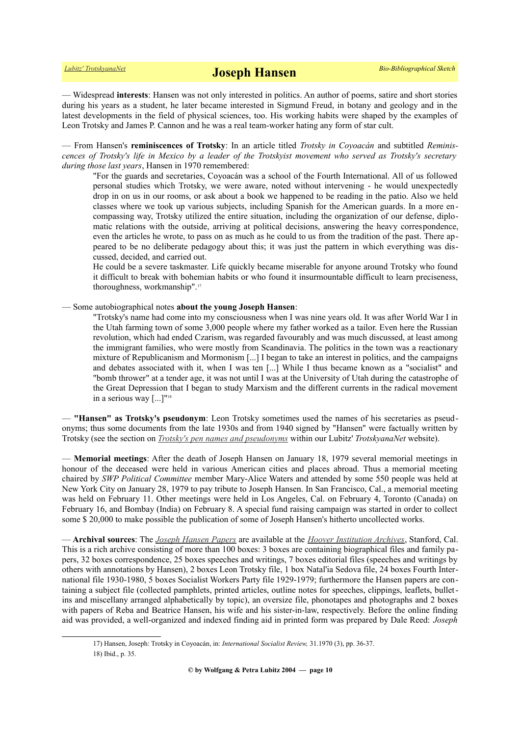— Widespread **interests**: Hansen was not only interested in politics. An author of poems, satire and short stories during his years as a student, he later became interested in Sigmund Freud, in botany and geology and in the latest developments in the field of physical sciences, too. His working habits were shaped by the examples of Leon Trotsky and James P. Cannon and he was a real team-worker hating any form of star cult.

— From Hansen's **reminiscences of Trotsky**: In an article titled *Trotsky in Coyoacán* and subtitled *Reminiscences of Trotsky's life in Mexico by a leader of the Trotskyist movement who served as Trotsky's secretary during those last years*, Hansen in 1970 remembered:

"For the guards and secretaries, Coyoacán was a school of the Fourth International. All of us followed personal studies which Trotsky, we were aware, noted without intervening - he would unexpectedly drop in on us in our rooms, or ask about a book we happened to be reading in the patio. Also we held classes where we took up various subjects, including Spanish for the American guards. In a more encompassing way, Trotsky utilized the entire situation, including the organization of our defense, diplomatic relations with the outside, arriving at political decisions, answering the heavy correspondence, even the articles he wrote, to pass on as much as he could to us from the tradition of the past. There appeared to be no deliberate pedagogy about this; it was just the pattern in which everything was discussed, decided, and carried out.

He could be a severe taskmaster. Life quickly became miserable for anyone around Trotsky who found it difficult to break with bohemian habits or who found it insurmountable difficult to learn preciseness, thoroughness, workmanship".[17](#page-9-0)

— Some autobiographical notes **about the young Joseph Hansen**:

"Trotsky's name had come into my consciousness when I was nine years old. It was after World War I in the Utah farming town of some 3,000 people where my father worked as a tailor. Even here the Russian revolution, which had ended Czarism, was regarded favourably and was much discussed, at least among the immigrant families, who were mostly from Scandinavia. The politics in the town was a reactionary mixture of Republicanism and Mormonism [...] I began to take an interest in politics, and the campaigns and debates associated with it, when I was ten [...] While I thus became known as a "socialist" and "bomb thrower" at a tender age, it was not until I was at the University of Utah during the catastrophe of the Great Depression that I began to study Marxism and the different currents in the radical movement in a serious way [...]"[18](#page-9-1)

— **"Hansen" as Trotsky's pseudonym**: Leon Trotsky sometimes used the names of his secretaries as pseudonyms; thus some documents from the late 1930s and from 1940 signed by "Hansen" were factually written by Trotsky (see the section on *[Trotsky's pen names and pseudonyms](https://www.trotskyana.net/Leon_Trotsky/Pseudonyms/trotsky_pseudonyms.html)* within our Lubitz' *TrotskyanaNet* website).

— **Memorial meetings**: After the death of Joseph Hansen on January 18, 1979 several memorial meetings in honour of the deceased were held in various American cities and places abroad. Thus a memorial meeting chaired by *SWP Political Committee* member Mary-Alice Waters and attended by some 550 people was held at New York City on January 28, 1979 to pay tribute to Joseph Hansen. In San Francisco, Cal., a memorial meeting was held on February 11. Other meetings were held in Los Angeles, Cal. on February 4, Toronto (Canada) on February 16, and Bombay (India) on February 8. A special fund raising campaign was started in order to collect some \$ 20,000 to make possible the publication of some of Joseph Hansen's hitherto uncollected works.

— **Archival sources**: The *[Joseph Hansen Papers](http://www.oac.cdlib.org/findaid/ark:/13030/tf78700585)* are available at the *[Hoover Institution Archives](https://www.trotskyana.net/Research_facilities/PublicArchives_America/publicarchives_america.html#hoover)*, Stanford, Cal. This is a rich archive consisting of more than 100 boxes: 3 boxes are containing biographical files and family papers, 32 boxes correspondence, 25 boxes speeches and writings, 7 boxes editorial files (speeches and writings by others with annotations by Hansen), 2 boxes Leon Trotsky file, 1 box Natal'ia Sedova file, 24 boxes Fourth International file 1930-1980, 5 boxes Socialist Workers Party file 1929-1979; furthermore the Hansen papers are containing a subject file (collected pamphlets, printed articles, outline notes for speeches, clippings, leaflets, bulletins and miscellany arranged alphabetically by topic), an oversize file, phonotapes and photographs and 2 boxes with papers of Reba and Beatrice Hansen, his wife and his sister-in-law, respectively. Before the online finding aid was provided, a well-organized and indexed finding aid in printed form was prepared by Dale Reed: *Joseph*

<span id="page-9-1"></span><span id="page-9-0"></span><sup>17)</sup> Hansen, Joseph: Trotsky in Coyoacán, in: *International Socialist Review,* 31.1970 (3), pp. 36-37. 18) Ibid., p. 35.